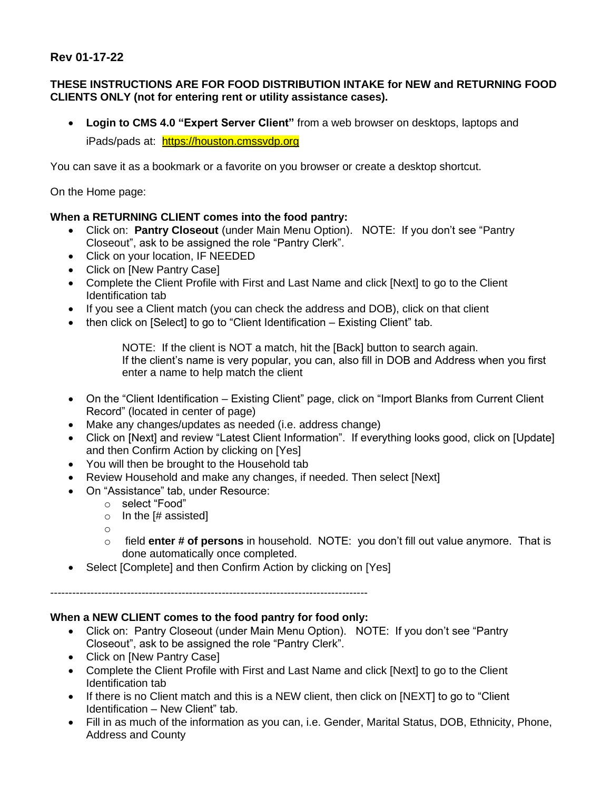## **Rev 01-17-22**

## **THESE INSTRUCTIONS ARE FOR FOOD DISTRIBUTION INTAKE for NEW and RETURNING FOOD CLIENTS ONLY (not for entering rent or utility assistance cases).**

• **Login to CMS 4.0 "Expert Server Client"** from a web browser on desktops, laptops and iPads/pads at: [https://houston.cmssvdp.org](https://svdphouston.us3.list-manage.com/track/click?u=4114acb84d9eaa5e5dc2a5892&id=e9984c4f41&e=e49c817d84)

You can save it as a bookmark or a favorite on you browser or create a desktop shortcut.

On the Home page:

## **When a RETURNING CLIENT comes into the food pantry:**

- Click on: **Pantry Closeout** (under Main Menu Option). NOTE: If you don't see "Pantry Closeout", ask to be assigned the role "Pantry Clerk".
- Click on your location, IF NEEDED
- Click on [New Pantry Case]
- Complete the Client Profile with First and Last Name and click [Next] to go to the Client Identification tab
- If you see a Client match (you can check the address and DOB), click on that client
- then click on [Select] to go to "Client Identification Existing Client" tab.

NOTE: If the client is NOT a match, hit the [Back] button to search again. If the client's name is very popular, you can, also fill in DOB and Address when you first enter a name to help match the client

- On the "Client Identification Existing Client" page, click on "Import Blanks from Current Client Record" (located in center of page)
- Make any changes/updates as needed (i.e. address change)
- Click on [Next] and review "Latest Client Information". If everything looks good, click on [Update] and then Confirm Action by clicking on [Yes]
- You will then be brought to the Household tab
- Review Household and make any changes, if needed. Then select [Next]
- On "Assistance" tab, under Resource:
	- o select "Food"
	- $\circ$  In the [# assisted]
	- o
	- o field **enter # of persons** in household. NOTE: you don't fill out value anymore. That is done automatically once completed.
- Select [Complete] and then Confirm Action by clicking on [Yes]

---------------------------------------------------------------------------------------

## **When a NEW CLIENT comes to the food pantry for food only:**

- Click on: Pantry Closeout (under Main Menu Option). NOTE: If you don't see "Pantry Closeout", ask to be assigned the role "Pantry Clerk".
- Click on [New Pantry Case]
- Complete the Client Profile with First and Last Name and click [Next] to go to the Client Identification tab
- If there is no Client match and this is a NEW client, then click on [NEXT] to go to "Client Identification – New Client" tab.
- Fill in as much of the information as you can, i.e. Gender, Marital Status, DOB, Ethnicity, Phone, Address and County